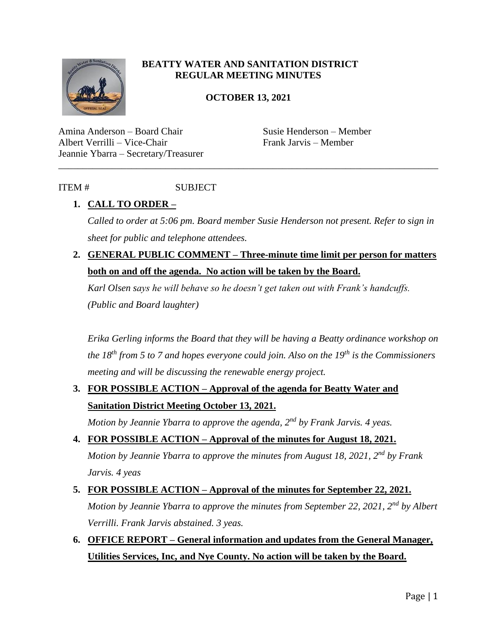

### **BEATTY WATER AND SANITATION DISTRICT REGULAR MEETING MINUTES**

### **OCTOBER 13, 2021**

\_\_\_\_\_\_\_\_\_\_\_\_\_\_\_\_\_\_\_\_\_\_\_\_\_\_\_\_\_\_\_\_\_\_\_\_\_\_\_\_\_\_\_\_\_\_\_\_\_\_\_\_\_\_\_\_\_\_\_\_\_\_\_\_\_\_\_\_\_\_\_\_\_\_\_\_\_\_

Amina Anderson – Board Chair Susie Henderson – Member Albert Verrilli – Vice-Chair Frank Jarvis – Member Jeannie Ybarra – Secretary/Treasurer

### ITEM # SUBJECT

### **1. CALL TO ORDER –**

*Called to order at 5:06 pm. Board member Susie Henderson not present. Refer to sign in sheet for public and telephone attendees.* 

**2. GENERAL PUBLIC COMMENT – Three-minute time limit per person for matters both on and off the agenda. No action will be taken by the Board.**

*Karl Olsen says he will behave so he doesn't get taken out with Frank's handcuffs. (Public and Board laughter)* 

*Erika Gerling informs the Board that they will be having a Beatty ordinance workshop on the 18th from 5 to 7 and hopes everyone could join. Also on the 19th is the Commissioners meeting and will be discussing the renewable energy project.* 

# **3. FOR POSSIBLE ACTION – Approval of the agenda for Beatty Water and Sanitation District Meeting October 13, 2021.**

*Motion by Jeannie Ybarra to approve the agenda, 2nd by Frank Jarvis. 4 yeas.* 

- **4. FOR POSSIBLE ACTION – Approval of the minutes for August 18, 2021.** *Motion by Jeannie Ybarra to approve the minutes from August 18, 2021, 2nd by Frank Jarvis. 4 yeas*
- **5. FOR POSSIBLE ACTION – Approval of the minutes for September 22, 2021.** *Motion by Jeannie Ybarra to approve the minutes from September 22, 2021, 2nd by Albert Verrilli. Frank Jarvis abstained. 3 yeas.*
- **6. OFFICE REPORT – General information and updates from the General Manager, Utilities Services, Inc, and Nye County. No action will be taken by the Board.**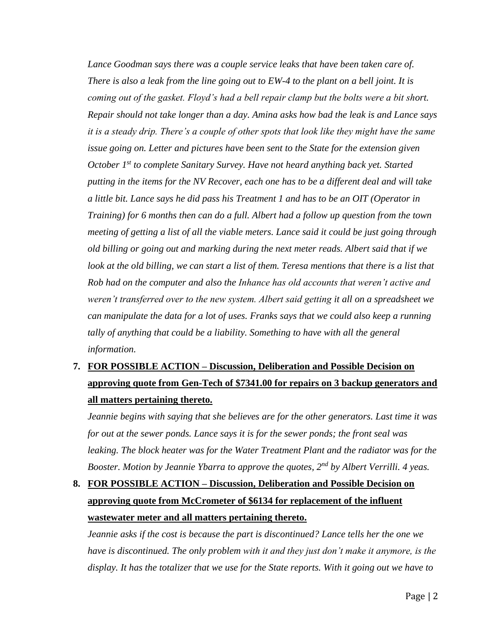Lance Goodman says there was a couple service leaks that have been taken care of. *There is also a leak from the line going out to EW-4 to the plant on a bell joint. It is coming out of the gasket. Floyd's had a bell repair clamp but the bolts were a bit short. Repair should not take longer than a day. Amina asks how bad the leak is and Lance says it is a steady drip. There's a couple of other spots that look like they might have the same issue going on. Letter and pictures have been sent to the State for the extension given October 1st to complete Sanitary Survey. Have not heard anything back yet. Started putting in the items for the NV Recover, each one has to be a different deal and will take a little bit. Lance says he did pass his Treatment 1 and has to be an OIT (Operator in Training) for 6 months then can do a full. Albert had a follow up question from the town meeting of getting a list of all the viable meters. Lance said it could be just going through old billing or going out and marking during the next meter reads. Albert said that if we look at the old billing, we can start a list of them. Teresa mentions that there is a list that Rob had on the computer and also the Inhance has old accounts that weren't active and weren't transferred over to the new system. Albert said getting it all on a spreadsheet we can manipulate the data for a lot of uses. Franks says that we could also keep a running tally of anything that could be a liability. Something to have with all the general information.*

# **7. FOR POSSIBLE ACTION – Discussion, Deliberation and Possible Decision on approving quote from Gen-Tech of \$7341.00 for repairs on 3 backup generators and all matters pertaining thereto.**

*Jeannie begins with saying that she believes are for the other generators. Last time it was for out at the sewer ponds. Lance says it is for the sewer ponds; the front seal was*  leaking. The block heater was for the Water Treatment Plant and the radiator was for the *Booster. Motion by Jeannie Ybarra to approve the quotes, 2nd by Albert Verrilli. 4 yeas.* 

# **8. FOR POSSIBLE ACTION – Discussion, Deliberation and Possible Decision on approving quote from McCrometer of \$6134 for replacement of the influent wastewater meter and all matters pertaining thereto.**

*Jeannie asks if the cost is because the part is discontinued? Lance tells her the one we have is discontinued. The only problem with it and they just don't make it anymore, is the display. It has the totalizer that we use for the State reports. With it going out we have to*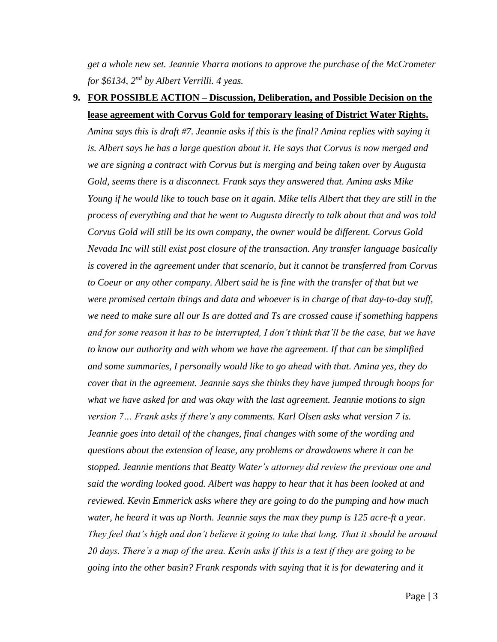*get a whole new set. Jeannie Ybarra motions to approve the purchase of the McCrometer for \$6134, 2nd by Albert Verrilli. 4 yeas.* 

### **9. FOR POSSIBLE ACTION – Discussion, Deliberation, and Possible Decision on the lease agreement with Corvus Gold for temporary leasing of District Water Rights.**

*Amina says this is draft #7. Jeannie asks if this is the final? Amina replies with saying it is. Albert says he has a large question about it. He says that Corvus is now merged and we are signing a contract with Corvus but is merging and being taken over by Augusta Gold, seems there is a disconnect. Frank says they answered that. Amina asks Mike Young if he would like to touch base on it again. Mike tells Albert that they are still in the process of everything and that he went to Augusta directly to talk about that and was told Corvus Gold will still be its own company, the owner would be different. Corvus Gold Nevada Inc will still exist post closure of the transaction. Any transfer language basically is covered in the agreement under that scenario, but it cannot be transferred from Corvus to Coeur or any other company. Albert said he is fine with the transfer of that but we were promised certain things and data and whoever is in charge of that day-to-day stuff, we need to make sure all our Is are dotted and Ts are crossed cause if something happens and for some reason it has to be interrupted, I don't think that'll be the case, but we have to know our authority and with whom we have the agreement. If that can be simplified and some summaries, I personally would like to go ahead with that. Amina yes, they do cover that in the agreement. Jeannie says she thinks they have jumped through hoops for what we have asked for and was okay with the last agreement. Jeannie motions to sign version 7… Frank asks if there's any comments. Karl Olsen asks what version 7 is. Jeannie goes into detail of the changes, final changes with some of the wording and questions about the extension of lease, any problems or drawdowns where it can be stopped. Jeannie mentions that Beatty Water's attorney did review the previous one and said the wording looked good. Albert was happy to hear that it has been looked at and reviewed. Kevin Emmerick asks where they are going to do the pumping and how much water, he heard it was up North. Jeannie says the max they pump is 125 acre-ft a year. They feel that's high and don't believe it going to take that long. That it should be around 20 days. There's a map of the area. Kevin asks if this is a test if they are going to be going into the other basin? Frank responds with saying that it is for dewatering and it*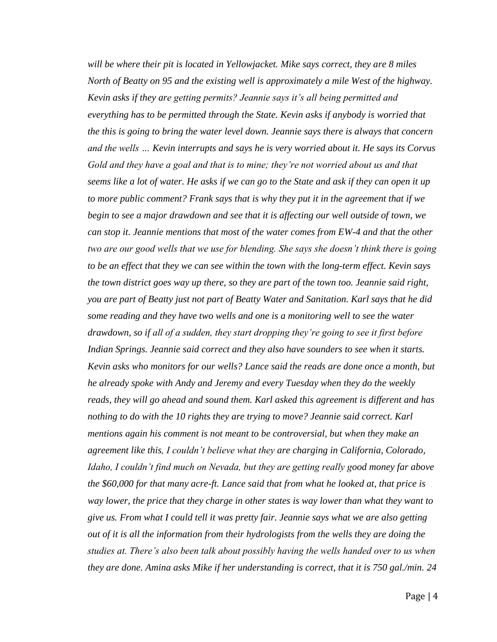*will be where their pit is located in Yellowjacket. Mike says correct, they are 8 miles North of Beatty on 95 and the existing well is approximately a mile West of the highway. Kevin asks if they are getting permits? Jeannie says it's all being permitted and everything has to be permitted through the State. Kevin asks if anybody is worried that the this is going to bring the water level down. Jeannie says there is always that concern and the wells … Kevin interrupts and says he is very worried about it. He says its Corvus Gold and they have a goal and that is to mine; they're not worried about us and that seems like a lot of water. He asks if we can go to the State and ask if they can open it up to more public comment? Frank says that is why they put it in the agreement that if we begin to see a major drawdown and see that it is affecting our well outside of town, we can stop it. Jeannie mentions that most of the water comes from EW-4 and that the other two are our good wells that we use for blending. She says she doesn't think there is going to be an effect that they we can see within the town with the long-term effect. Kevin says the town district goes way up there, so they are part of the town too. Jeannie said right, you are part of Beatty just not part of Beatty Water and Sanitation. Karl says that he did some reading and they have two wells and one is a monitoring well to see the water drawdown, so if all of a sudden, they start dropping they're going to see it first before Indian Springs. Jeannie said correct and they also have sounders to see when it starts. Kevin asks who monitors for our wells? Lance said the reads are done once a month, but he already spoke with Andy and Jeremy and every Tuesday when they do the weekly reads, they will go ahead and sound them. Karl asked this agreement is different and has nothing to do with the 10 rights they are trying to move? Jeannie said correct. Karl mentions again his comment is not meant to be controversial, but when they make an agreement like this, I couldn't believe what they are charging in California, Colorado, Idaho, I couldn't find much on Nevada, but they are getting really good money far above the \$60,000 for that many acre-ft. Lance said that from what he looked at, that price is way lower, the price that they charge in other states is way lower than what they want to give us. From what I could tell it was pretty fair. Jeannie says what we are also getting out of it is all the information from their hydrologists from the wells they are doing the studies at. There's also been talk about possibly having the wells handed over to us when they are done. Amina asks Mike if her understanding is correct, that it is 750 gal./min. 24*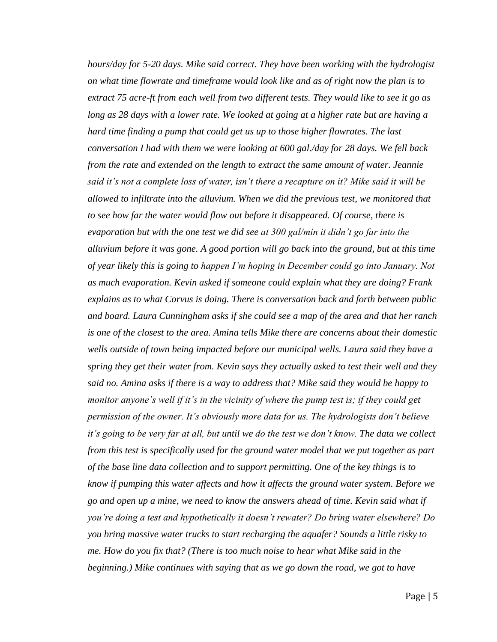*hours/day for 5-20 days. Mike said correct. They have been working with the hydrologist on what time flowrate and timeframe would look like and as of right now the plan is to extract 75 acre-ft from each well from two different tests. They would like to see it go as long as 28 days with a lower rate. We looked at going at a higher rate but are having a hard time finding a pump that could get us up to those higher flowrates. The last conversation I had with them we were looking at 600 gal./day for 28 days. We fell back from the rate and extended on the length to extract the same amount of water. Jeannie said it's not a complete loss of water, isn't there a recapture on it? Mike said it will be allowed to infiltrate into the alluvium. When we did the previous test, we monitored that to see how far the water would flow out before it disappeared. Of course, there is evaporation but with the one test we did see at 300 gal/min it didn't go far into the alluvium before it was gone. A good portion will go back into the ground, but at this time of year likely this is going to happen I'm hoping in December could go into January. Not as much evaporation. Kevin asked if someone could explain what they are doing? Frank explains as to what Corvus is doing. There is conversation back and forth between public and board. Laura Cunningham asks if she could see a map of the area and that her ranch is one of the closest to the area. Amina tells Mike there are concerns about their domestic wells outside of town being impacted before our municipal wells. Laura said they have a spring they get their water from. Kevin says they actually asked to test their well and they said no. Amina asks if there is a way to address that? Mike said they would be happy to monitor anyone's well if it's in the vicinity of where the pump test is; if they could get permission of the owner. It's obviously more data for us. The hydrologists don't believe it's going to be very far at all, but until we do the test we don't know. The data we collect from this test is specifically used for the ground water model that we put together as part of the base line data collection and to support permitting. One of the key things is to know if pumping this water affects and how it affects the ground water system. Before we go and open up a mine, we need to know the answers ahead of time. Kevin said what if you're doing a test and hypothetically it doesn't rewater? Do bring water elsewhere? Do you bring massive water trucks to start recharging the aquafer? Sounds a little risky to me. How do you fix that? (There is too much noise to hear what Mike said in the beginning.) Mike continues with saying that as we go down the road, we got to have*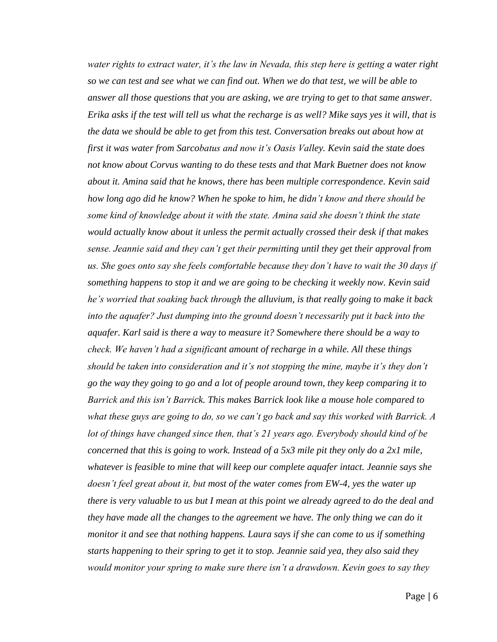*water rights to extract water, it's the law in Nevada, this step here is getting a water right so we can test and see what we can find out. When we do that test, we will be able to answer all those questions that you are asking, we are trying to get to that same answer. Erika asks if the test will tell us what the recharge is as well? Mike says yes it will, that is the data we should be able to get from this test. Conversation breaks out about how at first it was water from Sarcobatus and now it's Oasis Valley. Kevin said the state does not know about Corvus wanting to do these tests and that Mark Buetner does not know about it. Amina said that he knows, there has been multiple correspondence. Kevin said how long ago did he know? When he spoke to him, he didn't know and there should be some kind of knowledge about it with the state. Amina said she doesn't think the state would actually know about it unless the permit actually crossed their desk if that makes sense. Jeannie said and they can't get their permitting until they get their approval from us. She goes onto say she feels comfortable because they don't have to wait the 30 days if something happens to stop it and we are going to be checking it weekly now. Kevin said he's worried that soaking back through the alluvium, is that really going to make it back into the aquafer? Just dumping into the ground doesn't necessarily put it back into the aquafer. Karl said is there a way to measure it? Somewhere there should be a way to check. We haven't had a significant amount of recharge in a while. All these things should be taken into consideration and it's not stopping the mine, maybe it's they don't go the way they going to go and a lot of people around town, they keep comparing it to Barrick and this isn't Barrick. This makes Barrick look like a mouse hole compared to what these guys are going to do, so we can't go back and say this worked with Barrick. A lot of things have changed since then, that's 21 years ago. Everybody should kind of be concerned that this is going to work. Instead of a 5x3 mile pit they only do a 2x1 mile, whatever is feasible to mine that will keep our complete aquafer intact. Jeannie says she doesn't feel great about it, but most of the water comes from EW-4, yes the water up there is very valuable to us but I mean at this point we already agreed to do the deal and they have made all the changes to the agreement we have. The only thing we can do it monitor it and see that nothing happens. Laura says if she can come to us if something starts happening to their spring to get it to stop. Jeannie said yea, they also said they would monitor your spring to make sure there isn't a drawdown. Kevin goes to say they*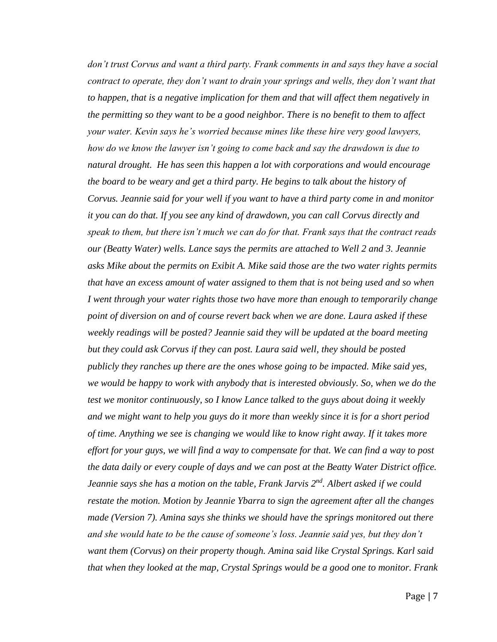*don't trust Corvus and want a third party. Frank comments in and says they have a social contract to operate, they don't want to drain your springs and wells, they don't want that*  to happen, that is a negative implication for them and that will affect them negatively in *the permitting so they want to be a good neighbor. There is no benefit to them to affect your water. Kevin says he's worried because mines like these hire very good lawyers, how do we know the lawyer isn't going to come back and say the drawdown is due to natural drought. He has seen this happen a lot with corporations and would encourage the board to be weary and get a third party. He begins to talk about the history of Corvus. Jeannie said for your well if you want to have a third party come in and monitor it you can do that. If you see any kind of drawdown, you can call Corvus directly and speak to them, but there isn't much we can do for that. Frank says that the contract reads our (Beatty Water) wells. Lance says the permits are attached to Well 2 and 3. Jeannie asks Mike about the permits on Exibit A. Mike said those are the two water rights permits that have an excess amount of water assigned to them that is not being used and so when I went through your water rights those two have more than enough to temporarily change point of diversion on and of course revert back when we are done. Laura asked if these weekly readings will be posted? Jeannie said they will be updated at the board meeting but they could ask Corvus if they can post. Laura said well, they should be posted publicly they ranches up there are the ones whose going to be impacted. Mike said yes, we would be happy to work with anybody that is interested obviously. So, when we do the test we monitor continuously, so I know Lance talked to the guys about doing it weekly and we might want to help you guys do it more than weekly since it is for a short period of time. Anything we see is changing we would like to know right away. If it takes more effort for your guys, we will find a way to compensate for that. We can find a way to post the data daily or every couple of days and we can post at the Beatty Water District office. Jeannie says she has a motion on the table, Frank Jarvis 2 nd. Albert asked if we could restate the motion. Motion by Jeannie Ybarra to sign the agreement after all the changes made (Version 7). Amina says she thinks we should have the springs monitored out there and she would hate to be the cause of someone's loss. Jeannie said yes, but they don't want them (Corvus) on their property though. Amina said like Crystal Springs. Karl said that when they looked at the map, Crystal Springs would be a good one to monitor. Frank*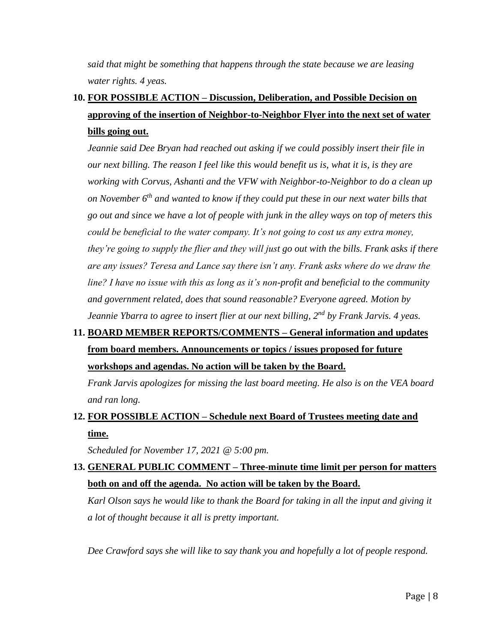*said that might be something that happens through the state because we are leasing water rights. 4 yeas.* 

# **10. FOR POSSIBLE ACTION – Discussion, Deliberation, and Possible Decision on approving of the insertion of Neighbor-to-Neighbor Flyer into the next set of water bills going out.**

*Jeannie said Dee Bryan had reached out asking if we could possibly insert their file in our next billing. The reason I feel like this would benefit us is, what it is, is they are working with Corvus, Ashanti and the VFW with Neighbor-to-Neighbor to do a clean up on November 6th and wanted to know if they could put these in our next water bills that go out and since we have a lot of people with junk in the alley ways on top of meters this could be beneficial to the water company. It's not going to cost us any extra money, they're going to supply the flier and they will just go out with the bills. Frank asks if there are any issues? Teresa and Lance say there isn't any. Frank asks where do we draw the line? I have no issue with this as long as it's non-profit and beneficial to the community and government related, does that sound reasonable? Everyone agreed. Motion by Jeannie Ybarra to agree to insert flier at our next billing, 2nd by Frank Jarvis. 4 yeas.* 

# **11. BOARD MEMBER REPORTS/COMMENTS – General information and updates from board members. Announcements or topics / issues proposed for future workshops and agendas. No action will be taken by the Board.**

*Frank Jarvis apologizes for missing the last board meeting. He also is on the VEA board and ran long.* 

# **12. FOR POSSIBLE ACTION – Schedule next Board of Trustees meeting date and time.**

*Scheduled for November 17, 2021 @ 5:00 pm.* 

# **13. GENERAL PUBLIC COMMENT – Three-minute time limit per person for matters both on and off the agenda. No action will be taken by the Board.**

*Karl Olson says he would like to thank the Board for taking in all the input and giving it a lot of thought because it all is pretty important.* 

*Dee Crawford says she will like to say thank you and hopefully a lot of people respond.*